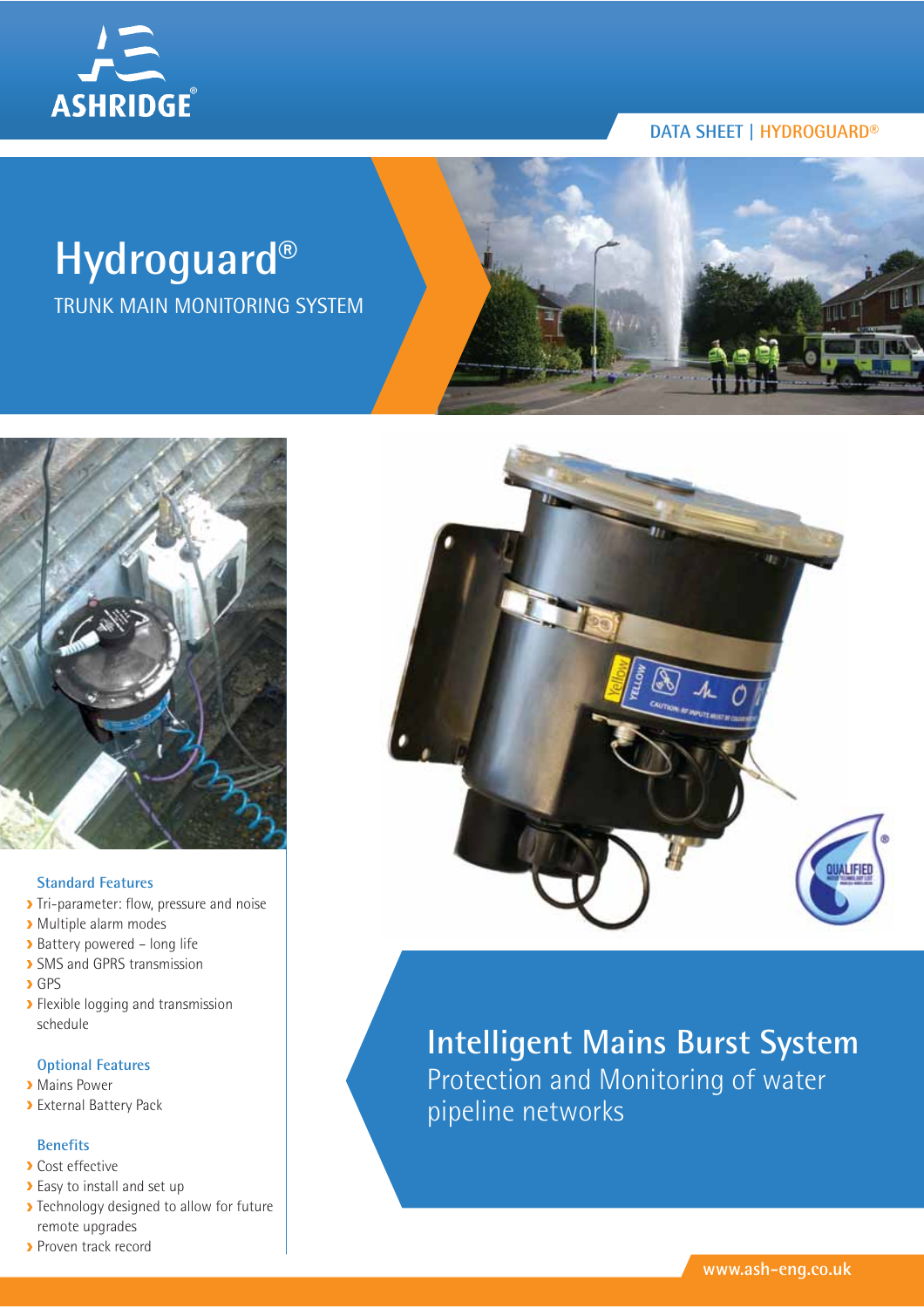

# **Hydroguard®**

TRUNK MAIN MONITORING SYSTEM





#### **Standard Features**

- Tri-parameter: flow, pressure and noise
- Multiple alarm modes
- Battery powered long life
- **> SMS and GPRS transmission**
- **>**GPS
- **>** Flexible logging and transmission schedule

#### **Optional Features**

- **Mains Power**
- External Battery Pack

#### **Benefits**

- **Cost effective**
- Easy to install and set up
- **>** Technology designed to allow for future remote upgrades
- **Proven track record**



# **Intelligent Mains Burst System** Protection and Monitoring of water pipeline networks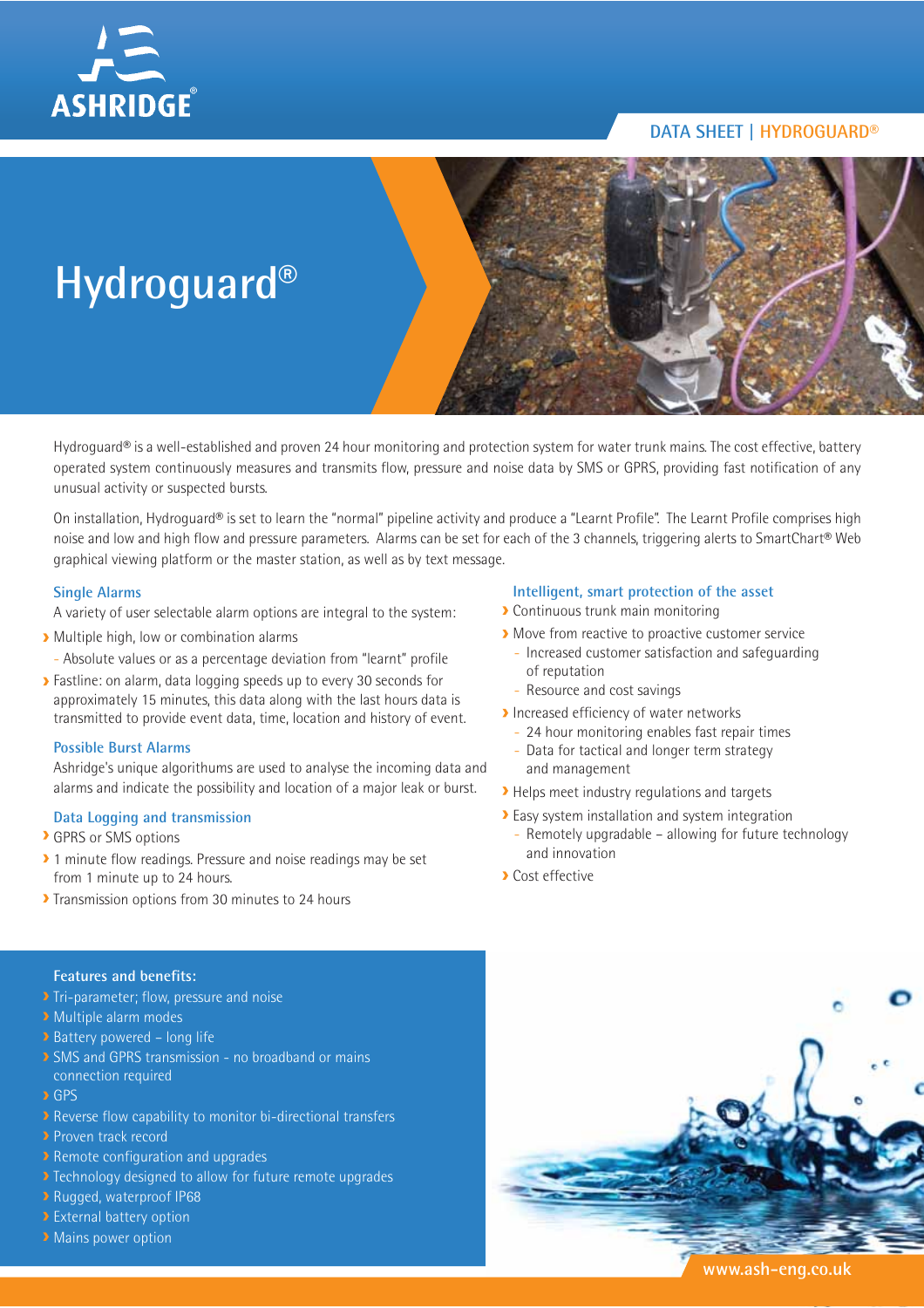



Hydroguard® is a well-established and proven 24 hour monitoring and protection system for water trunk mains. The cost effective, battery operated system continuously measures and transmits flow, pressure and noise data by SMS or GPRS, providing fast notification of any unusual activity or suspected bursts.

On installation, Hydroguard® is set to learn the "normal" pipeline activity and produce a "Learnt Profile". The Learnt Profile comprises high noise and low and high flow and pressure parameters. Alarms can be set for each of the 3 channels, triggering alerts to SmartChart® Web graphical viewing platform or the master station, as well as by text message.

#### **Single Alarms**

A variety of user selectable alarm options are integral to the system:

- Multiple high, low or combination alarms
	- Absolute values or as a percentage deviation from "learnt" profile
- **>** Fastline: on alarm, data logging speeds up to every 30 seconds for approximately 15 minutes, this data along with the last hours data is transmitted to provide event data, time, location and history of event.

#### **Possible Burst Alarms**

Ashridge's unique algorithums are used to analyse the incoming data and alarms and indicate the possibility and location of a major leak or burst.

#### **Data Logging and transmission**

- GPRS or SMS options
- <sup>2</sup> 1 minute flow readings. Pressure and noise readings may be set from 1 minute up to 24 hours.
- Transmission options from 30 minutes to 24 hours

#### **Intelligent, smart protection of the asset**

- Continuous trunk main monitoring
- Move from reactive to proactive customer service
	- Increased customer satisfaction and safeguarding of reputation
	- Resource and cost savings
- Increased efficiency of water networks
	- 24 hour monitoring enables fast repair times
	- Data for tactical and longer term strategy and management
- Helps meet industry regulations and targets
- Easy system installation and system integration - Remotely upgradable – allowing for future technology and innovation
- Cost effective



- Tri-parameter; flow, pressure and noise
- **Multiple alarm modes**
- **Battery powered long life**
- **> SMS and GPRS transmission no broadband or mains** connection required
- **D** GPS
- Reverse flow capability to monitor bi-directional transfers
- **Proven track record**
- **Remote configuration and upgrades**
- Technology designed to allow for future remote upgrades
- **P** Rugged, waterproof IP68
- **External battery option**
- **Mains power option**

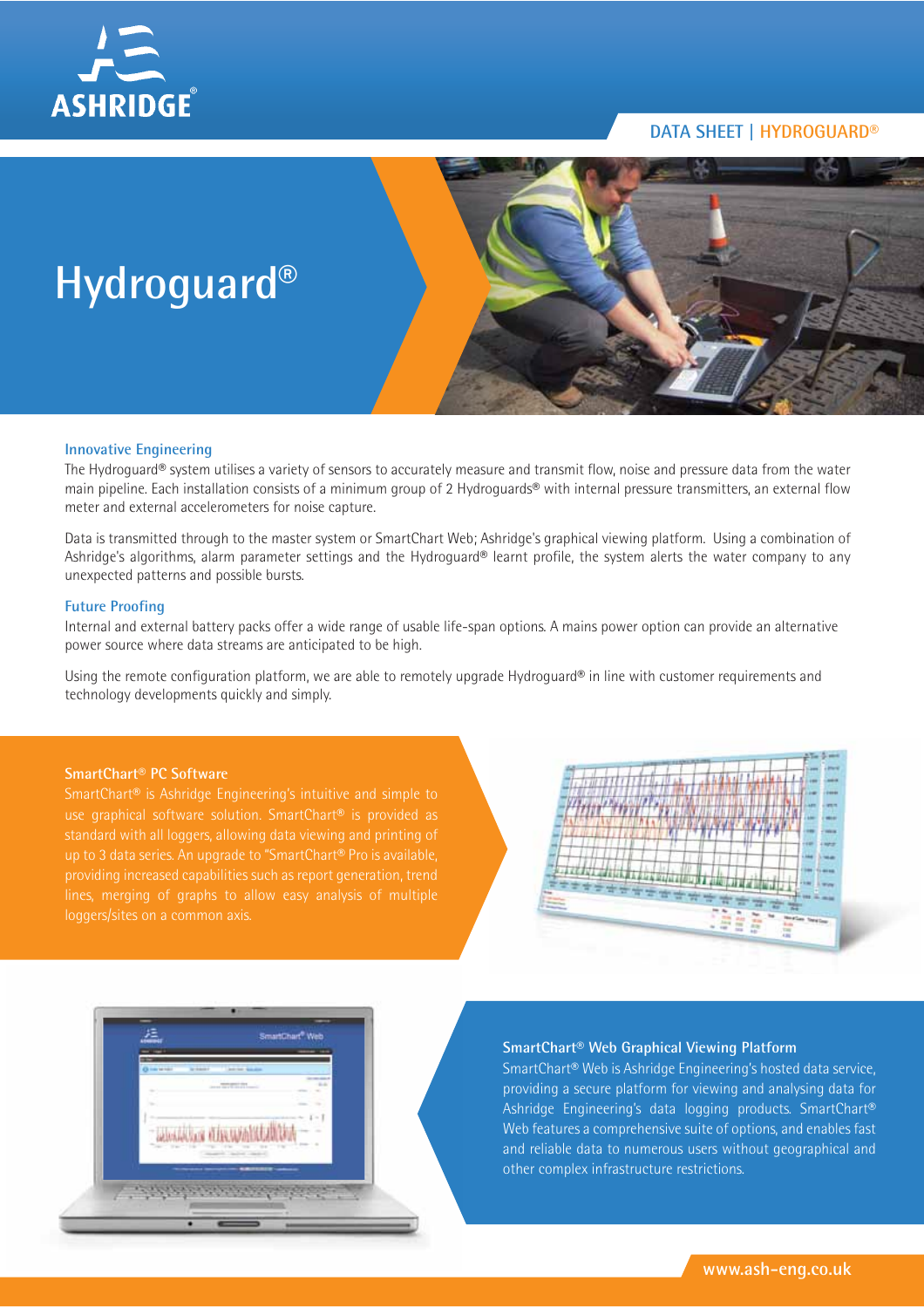



#### **Innovative Engineering**

The Hydroguard® system utilises a variety of sensors to accurately measure and transmit flow, noise and pressure data from the water main pipeline. Each installation consists of a minimum group of 2 Hydroguards® with internal pressure transmitters, an external flow meter and external accelerometers for noise capture.

Data is transmitted through to the master system or SmartChart Web; Ashridge's graphical viewing platform. Using a combination of Ashridge's algorithms, alarm parameter settings and the Hydroguard® learnt profile, the system alerts the water company to any unexpected patterns and possible bursts.

#### **Future Proofing**

Internal and external battery packs offer a wide range of usable life-span options. A mains power option can provide an alternative power source where data streams are anticipated to be high.

Using the remote configuration platform, we are able to remotely upgrade Hydroguard® in line with customer requirements and technology developments quickly and simply.

#### **SmartChart® PC Software**

SmartChart® is Ashridge Engineering's intuitive and simple to use graphical software solution. SmartChart® is provided as up to 3 data series. An upgrade to "SmartChart® Pro is available, loggers/sites on a common axis.





#### **SmartChart® Web Graphical Viewing Platform**

SmartChart® Web is Ashridge Engineering's hosted data service, providing a secure platform for viewing and analysing data for Ashridge Engineering's data logging products. SmartChart® Web features a comprehensive suite of options, and enables fast and reliable data to numerous users without geographical and other complex infrastructure restrictions.